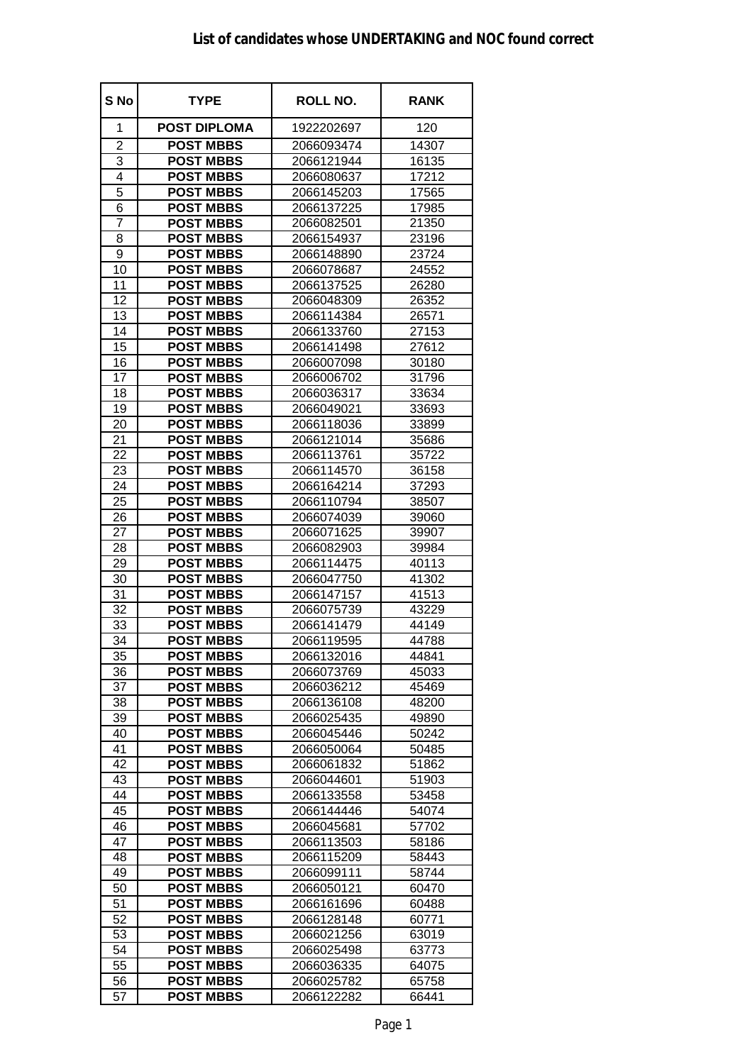## **List of candidates whose UNDERTAKING and NOC found correct**

| S No           | <b>TYPE</b>         | ROLL NO.                 | <b>RANK</b>    |
|----------------|---------------------|--------------------------|----------------|
| 1              | <b>POST DIPLOMA</b> | 1922202697               | 120            |
| $\overline{c}$ | <b>POST MBBS</b>    | 2066093474               | 14307          |
| 3              | <b>POST MBBS</b>    | 2066121944               | 16135          |
| 4              | <b>POST MBBS</b>    | 2066080637               | 17212          |
| 5              | <b>POST MBBS</b>    | 2066145203               | 17565          |
| 6              | <b>POST MBBS</b>    | 2066137225               | 17985          |
| $\overline{7}$ | <b>POST MBBS</b>    | 2066082501               | 21350          |
| 8              | <b>POST MBBS</b>    | 2066154937               | 23196          |
| 9              | <b>POST MBBS</b>    | 2066148890               | 23724          |
| 10             | <b>POST MBBS</b>    | 2066078687               | 24552          |
| 11             | <b>POST MBBS</b>    | 2066137525               | 26280          |
| 12             | <b>POST MBBS</b>    | 2066048309               | 26352          |
| 13             | <b>POST MBBS</b>    | 2066114384               | 26571          |
| 14             | <b>POST MBBS</b>    | 2066133760               | 27153          |
| 15             | <b>POST MBBS</b>    | 2066141498               | 27612          |
| 16             | <b>POST MBBS</b>    | 2066007098               | 30180          |
| 17             | <b>POST MBBS</b>    | 2066006702               | 31796          |
| 18             | <b>POST MBBS</b>    | 2066036317               | 33634          |
| 19             | <b>POST MBBS</b>    | 2066049021               | 33693          |
| 20             | <b>POST MBBS</b>    | 2066118036               | 33899          |
| 21             | <b>POST MBBS</b>    | 2066121014               | 35686          |
| 22             | <b>POST MBBS</b>    | 2066113761               | 35722          |
| 23             | <b>POST MBBS</b>    | 2066114570               | 36158          |
| 24             | <b>POST MBBS</b>    | 2066164214               | 37293          |
| 25             | <b>POST MBBS</b>    | 2066110794               | 38507          |
| 26             | <b>POST MBBS</b>    | 2066074039               | 39060          |
| 27             | <b>POST MBBS</b>    | 2066071625               | 39907          |
| 28             | <b>POST MBBS</b>    | 2066082903               | 39984          |
| 29             | <b>POST MBBS</b>    | 2066114475               | 40113          |
| 30             | <b>POST MBBS</b>    | 2066047750               | 41302          |
| 31             | <b>POST MBBS</b>    | 2066147157               | 41513          |
| 32             | <b>POST MBBS</b>    | 2066075739               | 43229          |
| 33             | <b>POST MBBS</b>    | 2066141479               | 44149          |
| 34             | <b>POST MBBS</b>    | 2066119595               | 44788          |
| 35             | <b>POST MBBS</b>    | 2066132016               | 44841          |
| 36             | <b>POST MBBS</b>    | 2066073769               | 45033          |
| 37             | <b>POST MBBS</b>    | 2066036212               | 45469          |
| 38             | <b>POST MBBS</b>    | 2066136108               | 48200          |
| 39             | <b>POST MBBS</b>    | 2066025435               | 49890          |
| 40             | <b>POST MBBS</b>    | 2066045446               | 50242          |
| 41             | <b>POST MBBS</b>    | 2066050064               | 50485          |
| 42             | <b>POST MBBS</b>    | 2066061832               | 51862          |
| 43             | <b>POST MBBS</b>    | 2066044601               | 51903          |
| 44             | <b>POST MBBS</b>    | 2066133558               | 53458          |
| 45             | <b>POST MBBS</b>    | 2066144446               | 54074          |
|                | <b>POST MBBS</b>    |                          |                |
| 46<br>47       | <b>POST MBBS</b>    | 2066045681<br>2066113503 | 57702<br>58186 |
| 48             | <b>POST MBBS</b>    | 2066115209               | 58443          |
| 49             | <b>POST MBBS</b>    | 2066099111               | 58744          |
| 50             | <b>POST MBBS</b>    | 2066050121               | 60470          |
| 51             | <b>POST MBBS</b>    | 2066161696               |                |
| 52             | <b>POST MBBS</b>    |                          | 60488<br>60771 |
|                |                     | 2066128148               |                |
| 53             | <b>POST MBBS</b>    | 2066021256               | 63019          |
| 54             | <b>POST MBBS</b>    | 2066025498               | 63773          |
| 55             | <b>POST MBBS</b>    | 2066036335               | 64075          |
| 56             | <b>POST MBBS</b>    | 2066025782               | 65758          |
| 57             | <b>POST MBBS</b>    | 2066122282               | 66441          |